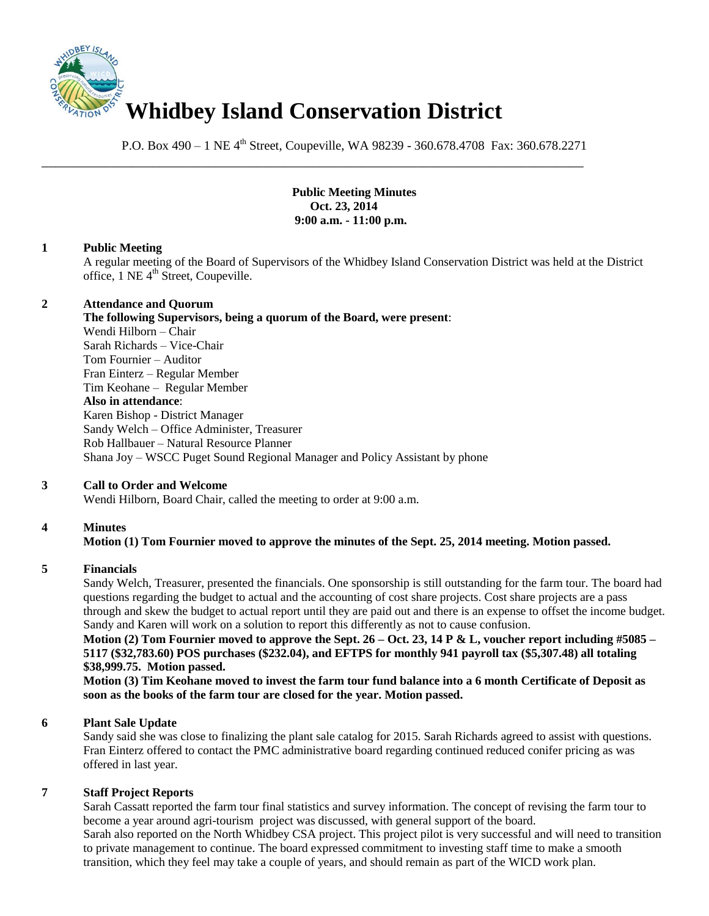

P.O. Box 490 – 1 NE 4<sup>th</sup> Street, Coupeville, WA 98239 - 360.678.4708 Fax: 360.678.2271

\_\_\_\_\_\_\_\_\_\_\_\_\_\_\_\_\_\_\_\_\_\_\_\_\_\_\_\_\_\_\_\_\_\_\_\_\_\_\_\_\_\_\_\_\_\_\_\_\_\_\_\_\_\_\_\_\_\_\_\_\_\_\_\_\_\_\_\_\_\_\_\_\_\_\_\_\_\_

**Public Meeting Minutes Oct. 23, 2014 9:00 a.m. - 11:00 p.m.**

### **1 Public Meeting**

A regular meeting of the Board of Supervisors of the Whidbey Island Conservation District was held at the District office, 1 NE 4<sup>th</sup> Street, Coupeville.

### **2 Attendance and Quorum**

**The following Supervisors, being a quorum of the Board, were present**: Wendi Hilborn – Chair Sarah Richards – Vice-Chair Tom Fournier – Auditor Fran Einterz – Regular Member Tim Keohane – Regular Member **Also in attendance**: Karen Bishop - District Manager Sandy Welch – Office Administer, Treasurer Rob Hallbauer – Natural Resource Planner Shana Joy – WSCC Puget Sound Regional Manager and Policy Assistant by phone

# **3 Call to Order and Welcome**

Wendi Hilborn, Board Chair, called the meeting to order at 9:00 a.m.

# **4 Minutes**

# **Motion (1) Tom Fournier moved to approve the minutes of the Sept. 25, 2014 meeting. Motion passed.**

#### **5 Financials**

Sandy Welch, Treasurer, presented the financials. One sponsorship is still outstanding for the farm tour. The board had questions regarding the budget to actual and the accounting of cost share projects. Cost share projects are a pass through and skew the budget to actual report until they are paid out and there is an expense to offset the income budget. Sandy and Karen will work on a solution to report this differently as not to cause confusion.

**Motion (2) Tom Fournier moved to approve the Sept. 26 – Oct. 23, 14 P & L, voucher report including #5085 – 5117 (\$32,783.60) POS purchases (\$232.04), and EFTPS for monthly 941 payroll tax (\$5,307.48) all totaling \$38,999.75. Motion passed.** 

**Motion (3) Tim Keohane moved to invest the farm tour fund balance into a 6 month Certificate of Deposit as soon as the books of the farm tour are closed for the year. Motion passed.** 

#### **6 Plant Sale Update**

Sandy said she was close to finalizing the plant sale catalog for 2015. Sarah Richards agreed to assist with questions. Fran Einterz offered to contact the PMC administrative board regarding continued reduced conifer pricing as was offered in last year.

### **7 Staff Project Reports**

Sarah Cassatt reported the farm tour final statistics and survey information. The concept of revising the farm tour to become a year around agri-tourism project was discussed, with general support of the board. Sarah also reported on the North Whidbey CSA project. This project pilot is very successful and will need to transition to private management to continue. The board expressed commitment to investing staff time to make a smooth transition, which they feel may take a couple of years, and should remain as part of the WICD work plan.